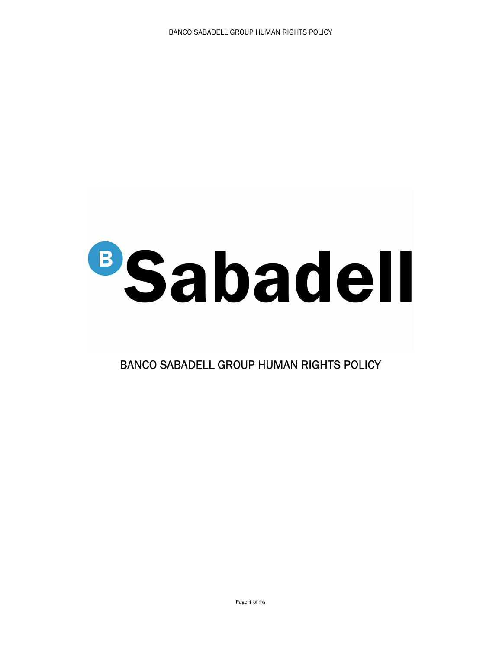## **BSabadell**

BANCO SABADELL GROUP HUMAN RIGHTS POLICY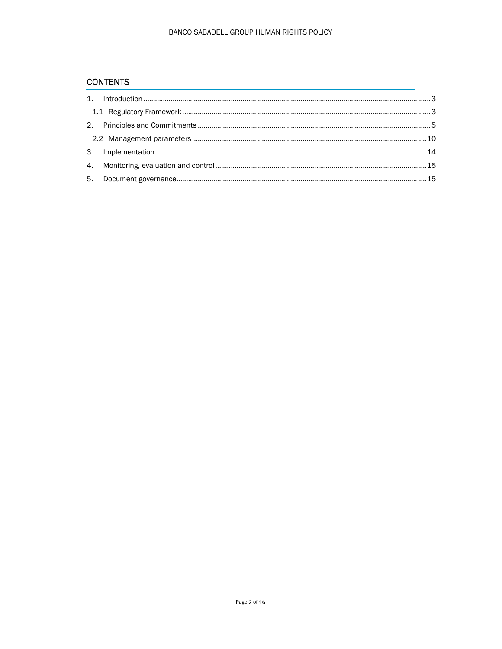## **CONTENTS**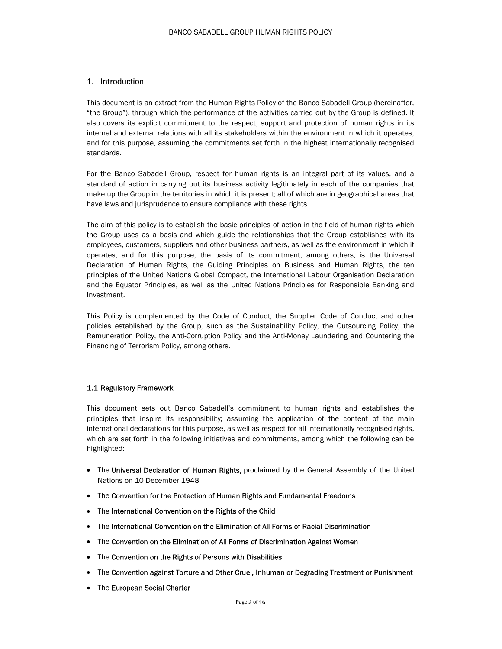### 1. Introduction

This document is an extract from the Human Rights Policy of the Banco Sabadell Group (hereinafter, "the Group"), through which the performance of the activities carried out by the Group is defined. It also covers its explicit commitment to the respect, support and protection of human rights in its internal and external relations with all its stakeholders within the environment in which it operates, and for this purpose, assuming the commitments set forth in the highest internationally recognised standards.

For the Banco Sabadell Group, respect for human rights is an integral part of its values, and a standard of action in carrying out its business activity legitimately in each of the companies that make up the Group in the territories in which it is present; all of which are in geographical areas that have laws and jurisprudence to ensure compliance with these rights.

The aim of this policy is to establish the basic principles of action in the field of human rights which the Group uses as a basis and which guide the relationships that the Group establishes with its employees, customers, suppliers and other business partners, as well as the environment in which it operates, and for this purpose, the basis of its commitment, among others, is the Universal Declaration of Human Rights, the Guiding Principles on Business and Human Rights, the ten principles of the United Nations Global Compact, the International Labour Organisation Declaration and the Equator Principles, as well as the United Nations Principles for Responsible Banking and Investment.

This Policy is complemented by the Code of Conduct, the Supplier Code of Conduct and other policies established by the Group, such as the Sustainability Policy, the Outsourcing Policy, the Remuneration Policy, the Anti-Corruption Policy and the Anti-Money Laundering and Countering the Financing of Terrorism Policy, among others.

### 1.1 Regulatory Framework

This document sets out Banco Sabadell's commitment to human rights and establishes the principles that inspire its responsibility; assuming the application of the content of the main international declarations for this purpose, as well as respect for all internationally recognised rights, which are set forth in the following initiatives and commitments, among which the following can be highlighted:

- The Universal Declaration of Human Rights, proclaimed by the General Assembly of the United Nations on 10 December 1948
- The Convention for the Protection of Human Rights and Fundamental Freedoms
- The International Convention on the Rights of the Child
- The International Convention on the Elimination of All Forms of Racial Discrimination
- The Convention on the Elimination of All Forms of Discrimination Against Women
- The Convention on the Rights of Persons with Disabilities
- The Convention against Torture and Other Cruel, Inhuman or Degrading Treatment or Punishment
- The European Social Charter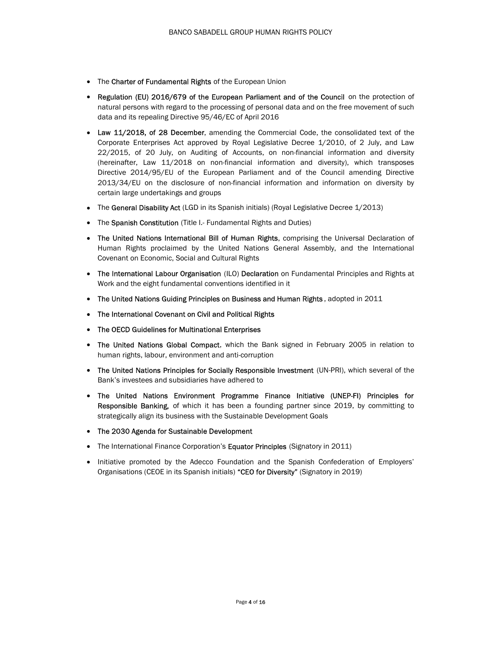- The Charter of Fundamental Rights of the European Union
- Regulation (EU) 2016/679 of the European Parliament and of the Council on the protection of natural persons with regard to the processing of personal data and on the free movement of such data and its repealing Directive 95/46/EC of April 2016
- Law 11/2018, of 28 December, amending the Commercial Code, the consolidated text of the Corporate Enterprises Act approved by Royal Legislative Decree 1/2010, of 2 July, and Law 22/2015, of 20 July, on Auditing of Accounts, on non-financial information and diversity (hereinafter, Law 11/2018 on non-financial information and diversity), which transposes Directive 2014/95/EU of the European Parliament and of the Council amending Directive 2013/34/EU on the disclosure of non-financial information and information on diversity by certain large undertakings and groups
- The General Disability Act (LGD in its Spanish initials) (Royal Legislative Decree 1/2013)
- The Spanish Constitution (Title I.- Fundamental Rights and Duties)
- The United Nations International Bill of Human Rights, comprising the Universal Declaration of Human Rights proclaimed by the United Nations General Assembly, and the International Covenant on Economic, Social and Cultural Rights
- The International Labour Organisation (ILO) Declaration on Fundamental Principles and Rights at Work and the eight fundamental conventions identified in it
- The United Nations Guiding Principles on Business and Human Rights, adopted in 2011
- The International Covenant on Civil and Political Rights
- The OECD Guidelines for Multinational Enterprises
- The United Nations Global Compact, which the Bank signed in February 2005 in relation to human rights, labour, environment and anti-corruption
- The United Nations Principles for Socially Responsible Investment (UN-PRI), which several of the Bank's investees and subsidiaries have adhered to
- The United Nations Environment Programme Finance Initiative (UNEP-FI) Principles for Responsible Banking, of which it has been a founding partner since 2019, by committing to strategically align its business with the Sustainable Development Goals
- The 2030 Agenda for Sustainable Development
- The International Finance Corporation's Equator Principles (Signatory in 2011)
- Initiative promoted by the Adecco Foundation and the Spanish Confederation of Employers' Organisations (CEOE in its Spanish initials) "CEO for Diversity" (Signatory in 2019)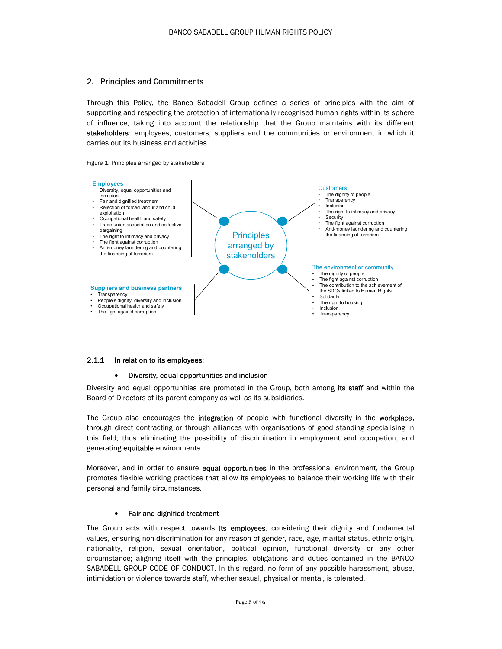### 2. Principles and Commitments

Through this Policy, the Banco Sabadell Group defines a series of principles with the aim of supporting and respecting the protection of internationally recognised human rights within its sphere of influence, taking into account the relationship that the Group maintains with its different stakeholders: employees, customers, suppliers and the communities or environment in which it carries out its business and activities.

Figure 1. Principles arranged by stakeholders

- 
- 
- exploitation<br>Occupational health and safety
- 
- 
- 
- the financing of terrorism



### 2.1.1 In relation to its employees:

### Diversity, equal opportunities and inclusion

Diversity and equal opportunities are promoted in the Group, both among its staff and within the Board of Directors of its parent company as well as its subsidiaries.

The Group also encourages the integration of people with functional diversity in the workplace, through direct contracting or through alliances with organisations of good standing specialising in this field, thus eliminating the possibility of discrimination in employment and occupation, and generating equitable environments.

Moreover, and in order to ensure equal opportunities in the professional environment, the Group promotes flexible working practices that allow its employees to balance their working life with their personal and family circumstances.

### Fair and dignified treatment

The Group acts with respect towards its employees, considering their dignity and fundamental values, ensuring non-discrimination for any reason of gender, race, age, marital status, ethnic origin, nationality, religion, sexual orientation, political opinion, functional diversity or any other circumstance; aligning itself with the principles, obligations and duties contained in the BANCO SABADELL GROUP CODE OF CONDUCT. In this regard, no form of any possible harassment, abuse, intimidation or violence towards staff, whether sexual, physical or mental, is tolerated.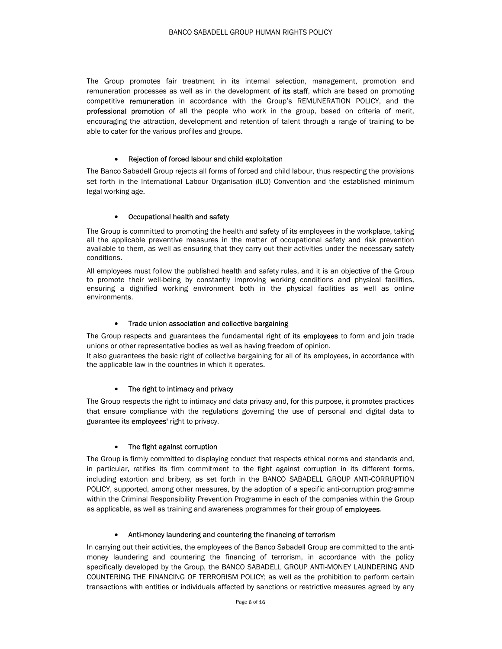The Group promotes fair treatment in its internal selection, management, promotion and remuneration processes as well as in the development of its staff, which are based on promoting competitive remuneration in accordance with the Group's REMUNERATION POLICY, and the professional promotion of all the people who work in the group, based on criteria of merit, encouraging the attraction, development and retention of talent through a range of training to be able to cater for the various profiles and groups.

### Rejection of forced labour and child exploitation

The Banco Sabadell Group rejects all forms of forced and child labour, thus respecting the provisions set forth in the International Labour Organisation (ILO) Convention and the established minimum legal working age.

### Occupational health and safety

The Group is committed to promoting the health and safety of its employees in the workplace, taking all the applicable preventive measures in the matter of occupational safety and risk prevention available to them, as well as ensuring that they carry out their activities under the necessary safety conditions.

All employees must follow the published health and safety rules, and it is an objective of the Group to promote their well-being by constantly improving working conditions and physical facilities, ensuring a dignified working environment both in the physical facilities as well as online environments.

### • Trade union association and collective bargaining

The Group respects and guarantees the fundamental right of its **employees** to form and join trade unions or other representative bodies as well as having freedom of opinion.

It also guarantees the basic right of collective bargaining for all of its employees, in accordance with the applicable law in the countries in which it operates.

### The right to intimacy and privacy

The Group respects the right to intimacy and data privacy and, for this purpose, it promotes practices that ensure compliance with the regulations governing the use of personal and digital data to guarantee its **employees'** right to privacy.

### The fight against corruption

The Group is firmly committed to displaying conduct that respects ethical norms and standards and, in particular, ratifies its firm commitment to the fight against corruption in its different forms, including extortion and bribery, as set forth in the BANCO SABADELL GROUP ANTI-CORRUPTION POLICY, supported, among other measures, by the adoption of a specific anti-corruption programme within the Criminal Responsibility Prevention Programme in each of the companies within the Group as applicable, as well as training and awareness programmes for their group of employees.

### Anti-money laundering and countering the financing of terrorism

In carrying out their activities, the employees of the Banco Sabadell Group are committed to the antimoney laundering and countering the financing of terrorism, in accordance with the policy specifically developed by the Group, the BANCO SABADELL GROUP ANTI-MONEY LAUNDERING AND COUNTERING THE FINANCING OF TERRORISM POLICY; as well as the prohibition to perform certain transactions with entities or individuals affected by sanctions or restrictive measures agreed by any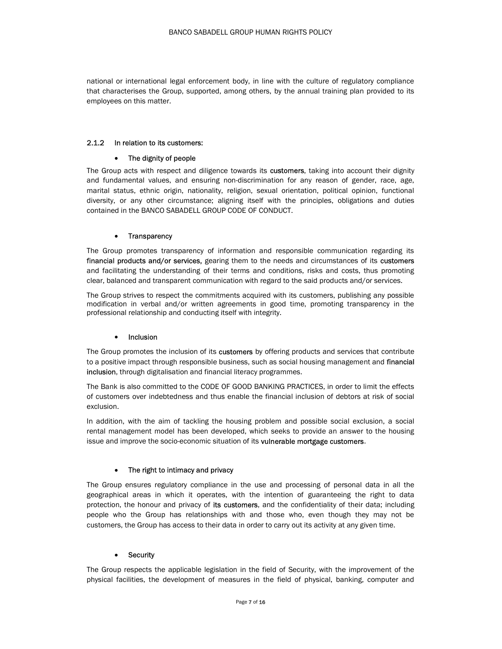national or international legal enforcement body, in line with the culture of regulatory compliance that characterises the Group, supported, among others, by the annual training plan provided to its employees on this matter.

### 2.1.2 In relation to its customers:

### The dignity of people

The Group acts with respect and diligence towards its customers, taking into account their dignity and fundamental values, and ensuring non-discrimination for any reason of gender, race, age, marital status, ethnic origin, nationality, religion, sexual orientation, political opinion, functional diversity, or any other circumstance; aligning itself with the principles, obligations and duties contained in the BANCO SABADELL GROUP CODE OF CONDUCT.

### • Transparency

The Group promotes transparency of information and responsible communication regarding its financial products and/or services, gearing them to the needs and circumstances of its customers and facilitating the understanding of their terms and conditions, risks and costs, thus promoting clear, balanced and transparent communication with regard to the said products and/or services.

The Group strives to respect the commitments acquired with its customers, publishing any possible modification in verbal and/or written agreements in good time, promoting transparency in the professional relationship and conducting itself with integrity.

### • Inclusion

The Group promotes the inclusion of its customers by offering products and services that contribute to a positive impact through responsible business, such as social housing management and financial inclusion, through digitalisation and financial literacy programmes.

The Bank is also committed to the CODE OF GOOD BANKING PRACTICES, in order to limit the effects of customers over indebtedness and thus enable the financial inclusion of debtors at risk of social exclusion.

In addition, with the aim of tackling the housing problem and possible social exclusion, a social rental management model has been developed, which seeks to provide an answer to the housing issue and improve the socio-economic situation of its vulnerable mortgage customers.

### The right to intimacy and privacy

The Group ensures regulatory compliance in the use and processing of personal data in all the geographical areas in which it operates, with the intention of guaranteeing the right to data protection, the honour and privacy of its customers, and the confidentiality of their data; including people who the Group has relationships with and those who, even though they may not be customers, the Group has access to their data in order to carry out its activity at any given time.

### **Security**

The Group respects the applicable legislation in the field of Security, with the improvement of the physical facilities, the development of measures in the field of physical, banking, computer and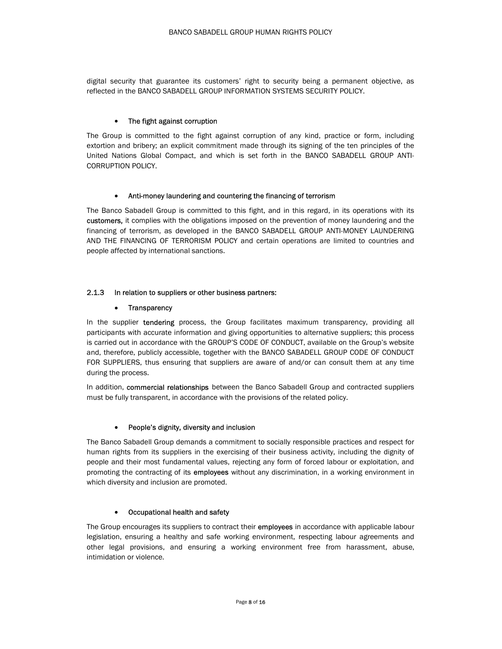digital security that guarantee its customers' right to security being a permanent objective, as reflected in the BANCO SABADELL GROUP INFORMATION SYSTEMS SECURITY POLICY.

### The fight against corruption

The Group is committed to the fight against corruption of any kind, practice or form, including extortion and bribery; an explicit commitment made through its signing of the ten principles of the United Nations Global Compact, and which is set forth in the BANCO SABADELL GROUP ANTI-CORRUPTION POLICY.

### Anti-money laundering and countering the financing of terrorism

The Banco Sabadell Group is committed to this fight, and in this regard, in its operations with its customers, it complies with the obligations imposed on the prevention of money laundering and the financing of terrorism, as developed in the BANCO SABADELL GROUP ANTI-MONEY LAUNDERING AND THE FINANCING OF TERRORISM POLICY and certain operations are limited to countries and people affected by international sanctions.

### 2.1.3 In relation to suppliers or other business partners:

### • Transparency

In the supplier **tendering** process, the Group facilitates maximum transparency, providing all participants with accurate information and giving opportunities to alternative suppliers; this process is carried out in accordance with the GROUP'S CODE OF CONDUCT, available on the Group's website and, therefore, publicly accessible, together with the BANCO SABADELL GROUP CODE OF CONDUCT FOR SUPPLIERS, thus ensuring that suppliers are aware of and/or can consult them at any time during the process.

In addition, commercial relationships between the Banco Sabadell Group and contracted suppliers must be fully transparent, in accordance with the provisions of the related policy.

### People's dignity, diversity and inclusion

The Banco Sabadell Group demands a commitment to socially responsible practices and respect for human rights from its suppliers in the exercising of their business activity, including the dignity of people and their most fundamental values, rejecting any form of forced labour or exploitation, and promoting the contracting of its employees without any discrimination, in a working environment in which diversity and inclusion are promoted.

### Occupational health and safety

The Group encourages its suppliers to contract their **employees** in accordance with applicable labour legislation, ensuring a healthy and safe working environment, respecting labour agreements and other legal provisions, and ensuring a working environment free from harassment, abuse, intimidation or violence.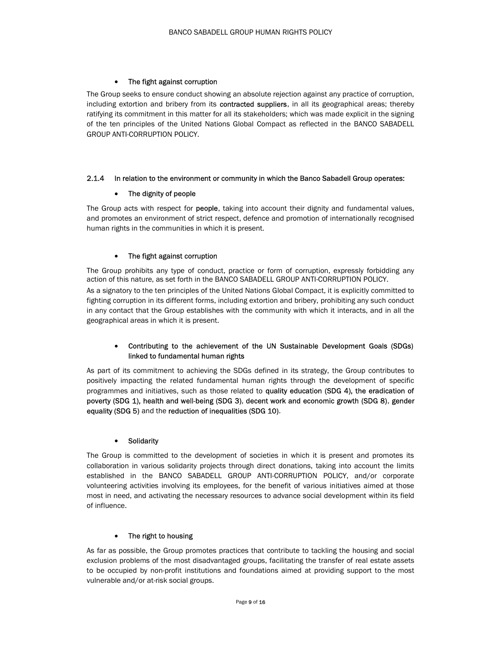### The fight against corruption

The Group seeks to ensure conduct showing an absolute rejection against any practice of corruption, including extortion and bribery from its contracted suppliers, in all its geographical areas; thereby ratifying its commitment in this matter for all its stakeholders; which was made explicit in the signing of the ten principles of the United Nations Global Compact as reflected in the BANCO SABADELL GROUP ANTI-CORRUPTION POLICY.

### 2.1.4 In relation to the environment or community in which the Banco Sabadell Group operates:

### The dignity of people

The Group acts with respect for **people**, taking into account their dignity and fundamental values, and promotes an environment of strict respect, defence and promotion of internationally recognised human rights in the communities in which it is present.

### The fight against corruption

geographical areas in which it is present.

The Group prohibits any type of conduct, practice or form of corruption, expressly forbidding any action of this nature, as set forth in the BANCO SABADELL GROUP ANTI-CORRUPTION POLICY. As a signatory to the ten principles of the United Nations Global Compact, it is explicitly committed to fighting corruption in its different forms, including extortion and bribery, prohibiting any such conduct in any contact that the Group establishes with the community with which it interacts, and in all the

### Contributing to the achievement of the UN Sustainable Development Goals (SDGs) linked to fundamental human rights

As part of its commitment to achieving the SDGs defined in its strategy, the Group contributes to positively impacting the related fundamental human rights through the development of specific programmes and initiatives, such as those related to quality education (SDG 4), the eradication of poverty (SDG 1), health and well-being (SDG 3), decent work and economic growth (SDG 8), gender equality (SDG 5) and the reduction of inequalities (SDG 10).

### **•** Solidarity

The Group is committed to the development of societies in which it is present and promotes its collaboration in various solidarity projects through direct donations, taking into account the limits established in the BANCO SABADELL GROUP ANTI-CORRUPTION POLICY, and/or corporate volunteering activities involving its employees, for the benefit of various initiatives aimed at those most in need, and activating the necessary resources to advance social development within its field of influence.

### • The right to housing

As far as possible, the Group promotes practices that contribute to tackling the housing and social exclusion problems of the most disadvantaged groups, facilitating the transfer of real estate assets to be occupied by non-profit institutions and foundations aimed at providing support to the most vulnerable and/or at-risk social groups.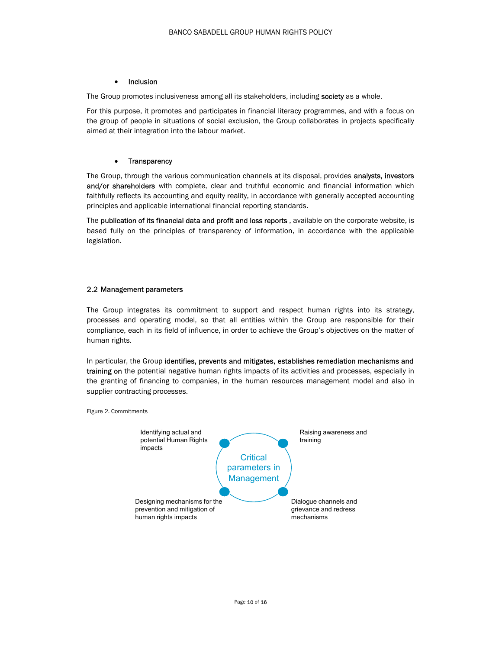### • Inclusion

The Group promotes inclusiveness among all its stakeholders, including society as a whole.

For this purpose, it promotes and participates in financial literacy programmes, and with a focus on the group of people in situations of social exclusion, the Group collaborates in projects specifically aimed at their integration into the labour market.

### • Transparency

The Group, through the various communication channels at its disposal, provides analysts, investors and/or shareholders with complete, clear and truthful economic and financial information which faithfully reflects its accounting and equity reality, in accordance with generally accepted accounting principles and applicable international financial reporting standards.

The publication of its financial data and profit and loss reports, available on the corporate website, is based fully on the principles of transparency of information, in accordance with the applicable legislation.

### 2.2 Management parameters

The Group integrates its commitment to support and respect human rights into its strategy, processes and operating model, so that all entities within the Group are responsible for their compliance, each in its field of influence, in order to achieve the Group's objectives on the matter of human rights.

In particular, the Group identifies, prevents and mitigates, establishes remediation mechanisms and training on the potential negative human rights impacts of its activities and processes, especially in the granting of financing to companies, in the human resources management model and also in supplier contracting processes.

Figure 2. Commitments

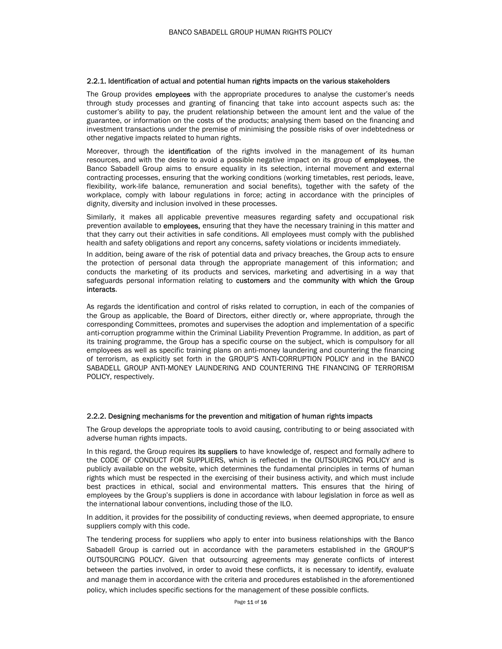### 2.2.1. Identification of actual and potential human rights impacts on the various stakeholders

The Group provides employees with the appropriate procedures to analyse the customer's needs through study processes and granting of financing that take into account aspects such as: the customer's ability to pay, the prudent relationship between the amount lent and the value of the guarantee, or information on the costs of the products; analysing them based on the financing and investment transactions under the premise of minimising the possible risks of over indebtedness or other negative impacts related to human rights.

Moreover, through the **identification** of the rights involved in the management of its human resources, and with the desire to avoid a possible negative impact on its group of **employees**, the Banco Sabadell Group aims to ensure equality in its selection, internal movement and external contracting processes, ensuring that the working conditions (working timetables, rest periods, leave, flexibility, work-life balance, remuneration and social benefits), together with the safety of the workplace, comply with labour regulations in force; acting in accordance with the principles of dignity, diversity and inclusion involved in these processes.

Similarly, it makes all applicable preventive measures regarding safety and occupational risk prevention available to employees, ensuring that they have the necessary training in this matter and that they carry out their activities in safe conditions. All employees must comply with the published health and safety obligations and report any concerns, safety violations or incidents immediately.

In addition, being aware of the risk of potential data and privacy breaches, the Group acts to ensure the protection of personal data through the appropriate management of this information; and conducts the marketing of its products and services, marketing and advertising in a way that safeguards personal information relating to customers and the community with which the Group interacts.

As regards the identification and control of risks related to corruption, in each of the companies of the Group as applicable, the Board of Directors, either directly or, where appropriate, through the corresponding Committees, promotes and supervises the adoption and implementation of a specific anti-corruption programme within the Criminal Liability Prevention Programme. In addition, as part of its training programme, the Group has a specific course on the subject, which is compulsory for all employees as well as specific training plans on anti-money laundering and countering the financing of terrorism, as explicitly set forth in the GROUP'S ANTI-CORRUPTION POLICY and in the BANCO SABADELL GROUP ANTI-MONEY LAUNDERING AND COUNTERING THE FINANCING OF TERRORISM POLICY, respectively.

### 2.2.2. Designing mechanisms for the prevention and mitigation of human rights impacts

The Group develops the appropriate tools to avoid causing, contributing to or being associated with adverse human rights impacts.

In this regard, the Group requires its suppliers to have knowledge of, respect and formally adhere to the CODE OF CONDUCT FOR SUPPLIERS, which is reflected in the OUTSOURCING POLICY and is publicly available on the website, which determines the fundamental principles in terms of human rights which must be respected in the exercising of their business activity, and which must include best practices in ethical, social and environmental matters. This ensures that the hiring of employees by the Group's suppliers is done in accordance with labour legislation in force as well as the international labour conventions, including those of the ILO.

In addition, it provides for the possibility of conducting reviews, when deemed appropriate, to ensure suppliers comply with this code.

The tendering process for suppliers who apply to enter into business relationships with the Banco Sabadell Group is carried out in accordance with the parameters established in the GROUP'S OUTSOURCING POLICY. Given that outsourcing agreements may generate conflicts of interest between the parties involved, in order to avoid these conflicts, it is necessary to identify, evaluate and manage them in accordance with the criteria and procedures established in the aforementioned policy, which includes specific sections for the management of these possible conflicts.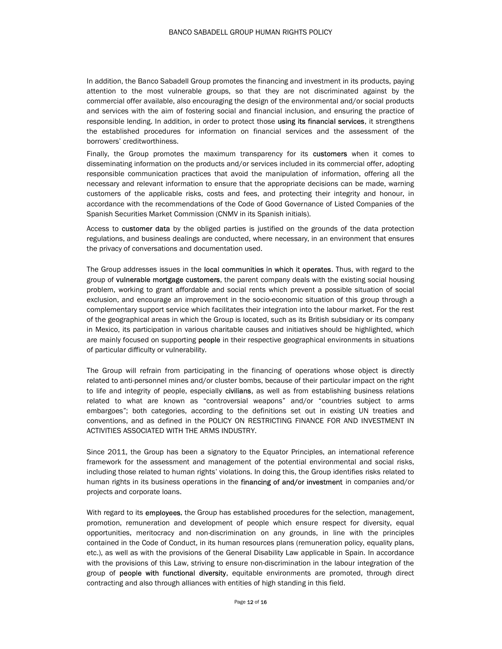In addition, the Banco Sabadell Group promotes the financing and investment in its products, paying attention to the most vulnerable groups, so that they are not discriminated against by the commercial offer available, also encouraging the design of the environmental and/or social products and services with the aim of fostering social and financial inclusion, and ensuring the practice of responsible lending. In addition, in order to protect those using its financial services, it strengthens the established procedures for information on financial services and the assessment of the borrowers' creditworthiness.

Finally, the Group promotes the maximum transparency for its customers when it comes to disseminating information on the products and/or services included in its commercial offer, adopting responsible communication practices that avoid the manipulation of information, offering all the necessary and relevant information to ensure that the appropriate decisions can be made, warning customers of the applicable risks, costs and fees, and protecting their integrity and honour, in accordance with the recommendations of the Code of Good Governance of Listed Companies of the Spanish Securities Market Commission (CNMV in its Spanish initials).

Access to customer data by the obliged parties is justified on the grounds of the data protection regulations, and business dealings are conducted, where necessary, in an environment that ensures the privacy of conversations and documentation used.

The Group addresses issues in the local communities in which it operates. Thus, with regard to the group of vulnerable mortgage customers, the parent company deals with the existing social housing problem, working to grant affordable and social rents which prevent a possible situation of social exclusion, and encourage an improvement in the socio-economic situation of this group through a complementary support service which facilitates their integration into the labour market. For the rest of the geographical areas in which the Group is located, such as its British subsidiary or its company in Mexico, its participation in various charitable causes and initiatives should be highlighted, which are mainly focused on supporting **people** in their respective geographical environments in situations of particular difficulty or vulnerability.

The Group will refrain from participating in the financing of operations whose object is directly related to anti-personnel mines and/or cluster bombs, because of their particular impact on the right to life and integrity of people, especially civilians, as well as from establishing business relations related to what are known as "controversial weapons" and/or "countries subject to arms embargoes"; both categories, according to the definitions set out in existing UN treaties and conventions, and as defined in the POLICY ON RESTRICTING FINANCE FOR AND INVESTMENT IN ACTIVITIES ASSOCIATED WITH THE ARMS INDUSTRY.

Since 2011, the Group has been a signatory to the Equator Principles, an international reference framework for the assessment and management of the potential environmental and social risks, including those related to human rights' violations. In doing this, the Group identifies risks related to human rights in its business operations in the financing of and/or investment in companies and/or projects and corporate loans.

With regard to its **employees**, the Group has established procedures for the selection, management, promotion, remuneration and development of people which ensure respect for diversity, equal opportunities, meritocracy and non-discrimination on any grounds, in line with the principles contained in the Code of Conduct, in its human resources plans (remuneration policy, equality plans, etc.), as well as with the provisions of the General Disability Law applicable in Spain. In accordance with the provisions of this Law, striving to ensure non-discrimination in the labour integration of the group of people with functional diversity, equitable environments are promoted, through direct contracting and also through alliances with entities of high standing in this field.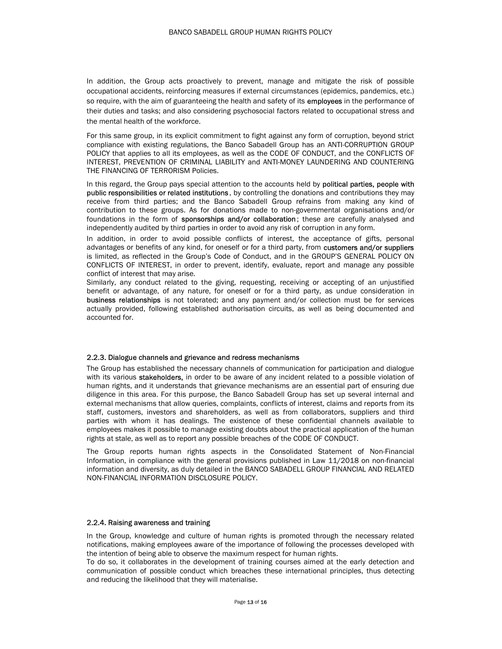In addition, the Group acts proactively to prevent, manage and mitigate the risk of possible occupational accidents, reinforcing measures if external circumstances (epidemics, pandemics, etc.) so require, with the aim of guaranteeing the health and safety of its employees in the performance of their duties and tasks; and also considering psychosocial factors related to occupational stress and the mental health of the workforce.

For this same group, in its explicit commitment to fight against any form of corruption, beyond strict compliance with existing regulations, the Banco Sabadell Group has an ANTI-CORRUPTION GROUP POLICY that applies to all its employees, as well as the CODE OF CONDUCT, and the CONFLICTS OF INTEREST, PREVENTION OF CRIMINAL LIABILITY and ANTI-MONEY LAUNDERING AND COUNTERING THE FINANCING OF TERRORISM Policies.

In this regard, the Group pays special attention to the accounts held by **political parties, people with public responsibilities or related institutions**, by controlling the donations and contributions they may receive from third parties; and the Banco Sabadell Group refrains from making any kind of contribution to these groups. As for donations made to non-governmental organisations and/or foundations in the form of sponsorships and/or collaboration; these are carefully analysed and independently audited by third parties in order to avoid any risk of corruption in any form.

In addition, in order to avoid possible conflicts of interest, the acceptance of gifts, personal advantages or benefits of any kind, for oneself or for a third party, from customers and/or suppliers is limited, as reflected in the Group's Code of Conduct, and in the GROUP'S GENERAL POLICY ON CONFLICTS OF INTEREST, in order to prevent, identify, evaluate, report and manage any possible conflict of interest that may arise.

Similarly, any conduct related to the giving, requesting, receiving or accepting of an unjustified benefit or advantage, of any nature, for oneself or for a third party, as undue consideration in business relationships is not tolerated; and any payment and/or collection must be for services actually provided, following established authorisation circuits, as well as being documented and accounted for.

### 2.2.3. Dialogue channels and grievance and redress mechanisms

The Group has established the necessary channels of communication for participation and dialogue with its various stakeholders, in order to be aware of any incident related to a possible violation of human rights, and it understands that grievance mechanisms are an essential part of ensuring due diligence in this area. For this purpose, the Banco Sabadell Group has set up several internal and external mechanisms that allow queries, complaints, conflicts of interest, claims and reports from its staff, customers, investors and shareholders, as well as from collaborators, suppliers and third parties with whom it has dealings. The existence of these confidential channels available to employees makes it possible to manage existing doubts about the practical application of the human rights at stale, as well as to report any possible breaches of the CODE OF CONDUCT.

The Group reports human rights aspects in the Consolidated Statement of Non-Financial Information, in compliance with the general provisions published in Law 11/2018 on non-financial information and diversity, as duly detailed in the BANCO SABADELL GROUP FINANCIAL AND RELATED NON-FINANCIAL INFORMATION DISCLOSURE POLICY.

### 2.2.4. Raising awareness and training

In the Group, knowledge and culture of human rights is promoted through the necessary related notifications, making employees aware of the importance of following the processes developed with the intention of being able to observe the maximum respect for human rights.

To do so, it collaborates in the development of training courses aimed at the early detection and communication of possible conduct which breaches these international principles, thus detecting and reducing the likelihood that they will materialise.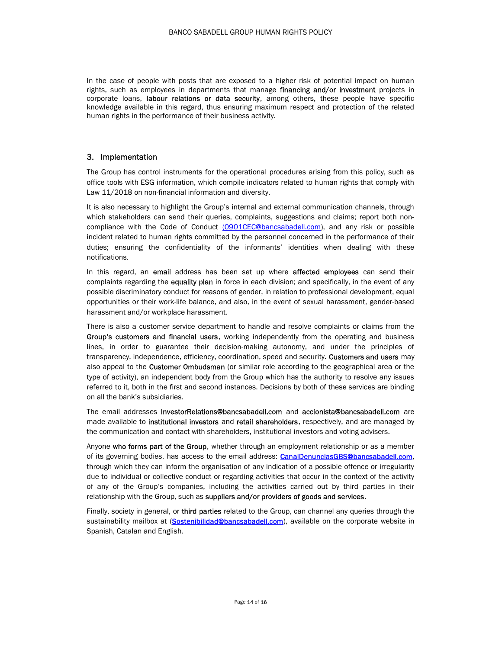In the case of people with posts that are exposed to a higher risk of potential impact on human rights, such as employees in departments that manage financing and/or investment projects in corporate loans, labour relations or data security, among others, these people have specific knowledge available in this regard, thus ensuring maximum respect and protection of the related human rights in the performance of their business activity.

### 3. Implementation

The Group has control instruments for the operational procedures arising from this policy, such as office tools with ESG information, which compile indicators related to human rights that comply with Law 11/2018 on non-financial information and diversity.

It is also necessary to highlight the Group's internal and external communication channels, through which stakeholders can send their queries, complaints, suggestions and claims; report both noncompliance with the Code of Conduct (0901CEC@bancsabadell.com), and any risk or possible incident related to human rights committed by the personnel concerned in the performance of their duties; ensuring the confidentiality of the informants' identities when dealing with these notifications.

In this regard, an email address has been set up where **affected employees** can send their complaints regarding the **equality plan** in force in each division; and specifically, in the event of any possible discriminatory conduct for reasons of gender, in relation to professional development, equal opportunities or their work-life balance, and also, in the event of sexual harassment, gender-based harassment and/or workplace harassment.

There is also a customer service department to handle and resolve complaints or claims from the Group's customers and financial users, working independently from the operating and business lines, in order to guarantee their decision-making autonomy, and under the principles of transparency, independence, efficiency, coordination, speed and security. Customers and users may also appeal to the **Customer Ombudsman** (or similar role according to the geographical area or the type of activity), an independent body from the Group which has the authority to resolve any issues referred to it, both in the first and second instances. Decisions by both of these services are binding on all the bank's subsidiaries.

The email addresses InvestorRelations@bancsabadell.com and accionista@bancsabadell.com are made available to institutional investors and retail shareholders, respectively, and are managed by the communication and contact with shareholders, institutional investors and voting advisers.

Anyone who forms part of the Group, whether through an employment relationship or as a member of its governing bodies, has access to the email address: CanalDenunciasGBS@bancsabadell.com, through which they can inform the organisation of any indication of a possible offence or irregularity due to individual or collective conduct or regarding activities that occur in the context of the activity of any of the Group's companies, including the activities carried out by third parties in their relationship with the Group, such as suppliers and/or providers of goods and services.

Finally, society in general, or third parties related to the Group, can channel any queries through the sustainability mailbox at (Sostenibilidad@bancsabadell.com), available on the corporate website in Spanish, Catalan and English.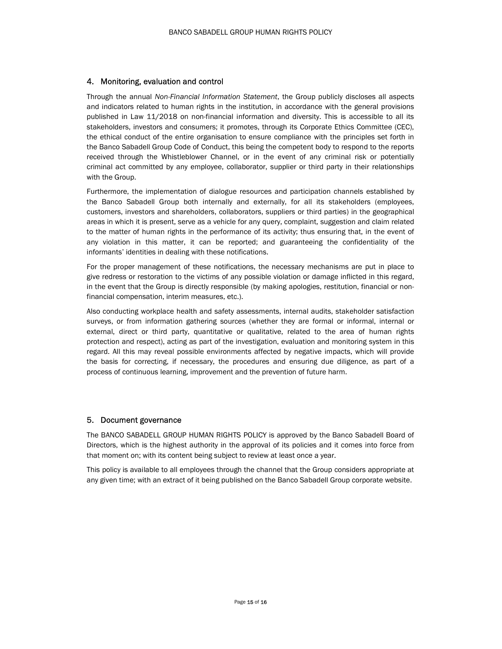### 4. Monitoring, evaluation and control

Through the annual Non-Financial Information Statement, the Group publicly discloses all aspects and indicators related to human rights in the institution, in accordance with the general provisions published in Law 11/2018 on non-financial information and diversity. This is accessible to all its stakeholders, investors and consumers; it promotes, through its Corporate Ethics Committee (CEC), the ethical conduct of the entire organisation to ensure compliance with the principles set forth in the Banco Sabadell Group Code of Conduct, this being the competent body to respond to the reports received through the Whistleblower Channel, or in the event of any criminal risk or potentially criminal act committed by any employee, collaborator, supplier or third party in their relationships with the Group.

Furthermore, the implementation of dialogue resources and participation channels established by the Banco Sabadell Group both internally and externally, for all its stakeholders (employees, customers, investors and shareholders, collaborators, suppliers or third parties) in the geographical areas in which it is present, serve as a vehicle for any query, complaint, suggestion and claim related to the matter of human rights in the performance of its activity; thus ensuring that, in the event of any violation in this matter, it can be reported; and guaranteeing the confidentiality of the informants' identities in dealing with these notifications.

For the proper management of these notifications, the necessary mechanisms are put in place to give redress or restoration to the victims of any possible violation or damage inflicted in this regard, in the event that the Group is directly responsible (by making apologies, restitution, financial or nonfinancial compensation, interim measures, etc.).

Also conducting workplace health and safety assessments, internal audits, stakeholder satisfaction surveys, or from information gathering sources (whether they are formal or informal, internal or external, direct or third party, quantitative or qualitative, related to the area of human rights protection and respect), acting as part of the investigation, evaluation and monitoring system in this regard. All this may reveal possible environments affected by negative impacts, which will provide the basis for correcting, if necessary, the procedures and ensuring due diligence, as part of a process of continuous learning, improvement and the prevention of future harm.

### 5. Document governance

The BANCO SABADELL GROUP HUMAN RIGHTS POLICY is approved by the Banco Sabadell Board of Directors, which is the highest authority in the approval of its policies and it comes into force from that moment on; with its content being subject to review at least once a year.

This policy is available to all employees through the channel that the Group considers appropriate at any given time; with an extract of it being published on the Banco Sabadell Group corporate website.